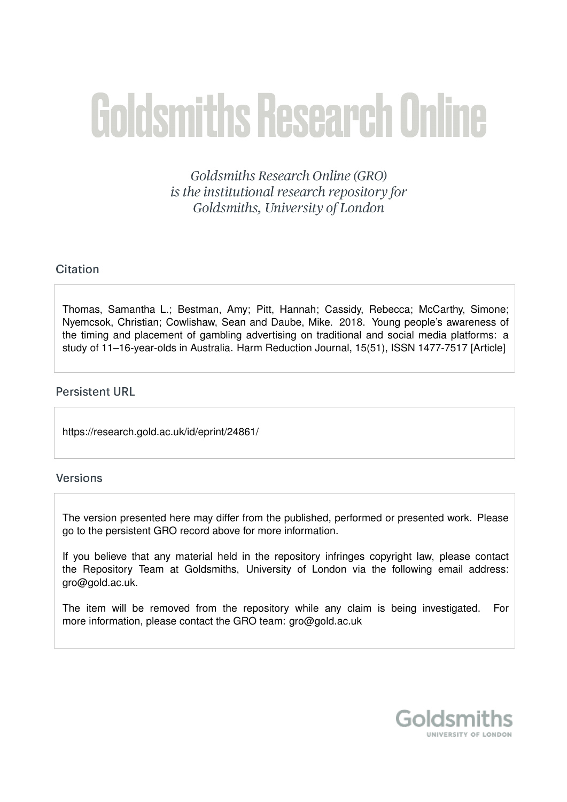# **Goldsmiths Research Online**

Goldsmiths Research Online (GRO) is the institutional research repository for Goldsmiths, University of London

# Citation

Thomas, Samantha L.; Bestman, Amy; Pitt, Hannah; Cassidy, Rebecca; McCarthy, Simone; Nyemcsok, Christian; Cowlishaw, Sean and Daube, Mike. 2018. Young people's awareness of the timing and placement of gambling advertising on traditional and social media platforms: a study of 11–16-year-olds in Australia. Harm Reduction Journal, 15(51), ISSN 1477-7517 [Article]

# **Persistent URL**

https://research.gold.ac.uk/id/eprint/24861/

## Versions

The version presented here may differ from the published, performed or presented work. Please go to the persistent GRO record above for more information.

If you believe that any material held in the repository infringes copyright law, please contact the Repository Team at Goldsmiths, University of London via the following email address: gro@gold.ac.uk.

The item will be removed from the repository while any claim is being investigated. For more information, please contact the GRO team: gro@gold.ac.uk

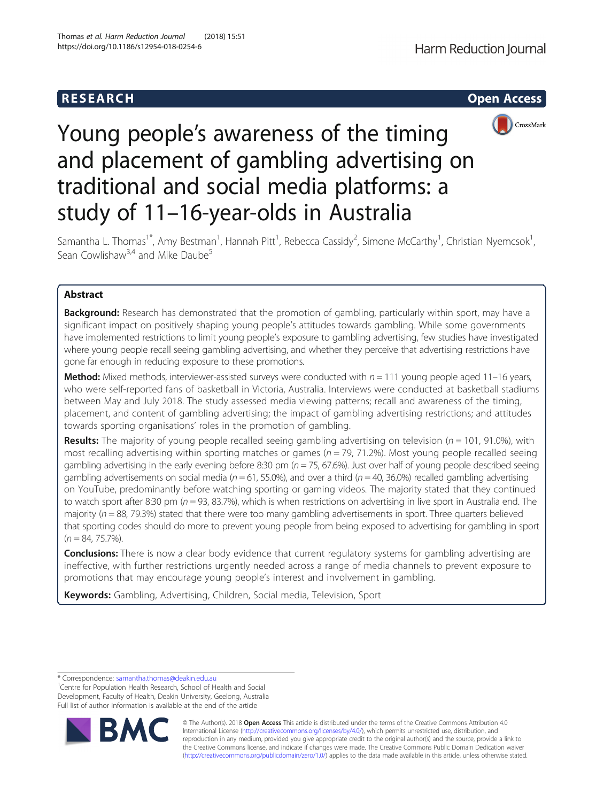# **RESEARCH CHEAR CHEAR CHEAR CHEAR CHEAR CHEAR CHEAR CHEAR CHEAR CHEAR CHEAR CHEAR CHEAR CHEAR CHEAR CHEAR CHEAR**



# Young people's awareness of the timing and placement of gambling advertising on traditional and social media platforms: a study of 11–16-year-olds in Australia

Samantha L. Thomas<sup>1\*</sup>, Amy Bestman<sup>1</sup>, Hannah Pitt<sup>1</sup>, Rebecca Cassidy<sup>2</sup>, Simone McCarthy<sup>1</sup>, Christian Nyemcsok<sup>1</sup> , Sean Cowlishaw<sup>3,4</sup> and Mike Daube<sup>5</sup>

### Abstract

**Background:** Research has demonstrated that the promotion of gambling, particularly within sport, may have a significant impact on positively shaping young people's attitudes towards gambling. While some governments have implemented restrictions to limit young people's exposure to gambling advertising, few studies have investigated where young people recall seeing gambling advertising, and whether they perceive that advertising restrictions have gone far enough in reducing exposure to these promotions.

**Method:** Mixed methods, interviewer-assisted surveys were conducted with  $n = 111$  young people aged 11–16 years, who were self-reported fans of basketball in Victoria, Australia. Interviews were conducted at basketball stadiums between May and July 2018. The study assessed media viewing patterns; recall and awareness of the timing, placement, and content of gambling advertising; the impact of gambling advertising restrictions; and attitudes towards sporting organisations' roles in the promotion of gambling.

**Results:** The majority of young people recalled seeing gambling advertising on television ( $n = 101$ , 91.0%), with most recalling advertising within sporting matches or games ( $n = 79$ , 71.2%). Most young people recalled seeing gambling advertising in the early evening before 8:30 pm ( $n = 75$ , 67.6%). Just over half of young people described seeing gambling advertisements on social media ( $n = 61$ , 55.0%), and over a third ( $n = 40$ , 36.0%) recalled gambling advertising on YouTube, predominantly before watching sporting or gaming videos. The majority stated that they continued to watch sport after 8:30 pm ( $n = 93$ , 83.7%), which is when restrictions on advertising in live sport in Australia end. The majority ( $n = 88, 79.3%$ ) stated that there were too many gambling advertisements in sport. Three quarters believed that sporting codes should do more to prevent young people from being exposed to advertising for gambling in sport  $(n = 84, 75.7\%)$ .

**Conclusions:** There is now a clear body evidence that current regulatory systems for gambling advertising are ineffective, with further restrictions urgently needed across a range of media channels to prevent exposure to promotions that may encourage young people's interest and involvement in gambling.

Keywords: Gambling, Advertising, Children, Social media, Television, Sport

\* Correspondence: [samantha.thomas@deakin.edu.au](mailto:samantha.thomas@deakin.edu.au) <sup>1</sup>

Centre for Population Health Research, School of Health and Social Development, Faculty of Health, Deakin University, Geelong, Australia Full list of author information is available at the end of the article



© The Author(s). 2018 Open Access This article is distributed under the terms of the Creative Commons Attribution 4.0 International License [\(http://creativecommons.org/licenses/by/4.0/](http://creativecommons.org/licenses/by/4.0/)), which permits unrestricted use, distribution, and reproduction in any medium, provided you give appropriate credit to the original author(s) and the source, provide a link to the Creative Commons license, and indicate if changes were made. The Creative Commons Public Domain Dedication waiver [\(http://creativecommons.org/publicdomain/zero/1.0/](http://creativecommons.org/publicdomain/zero/1.0/)) applies to the data made available in this article, unless otherwise stated.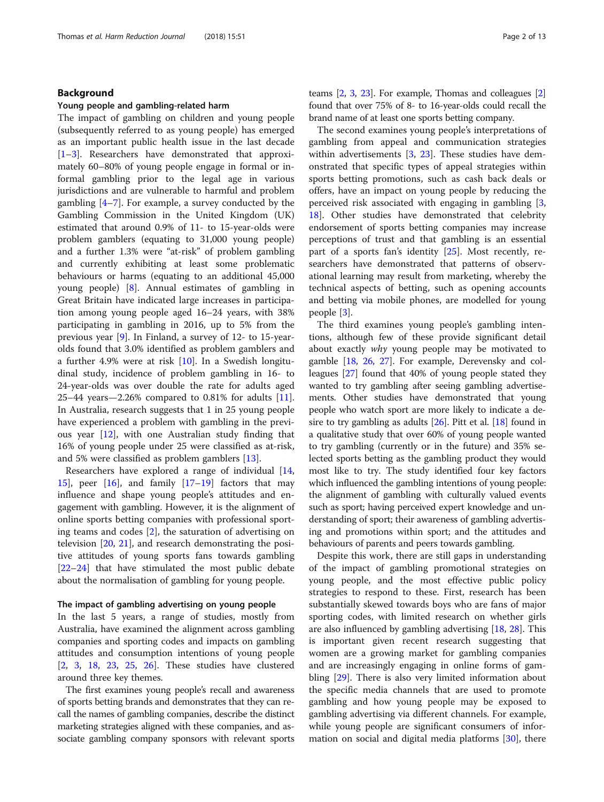#### Background

#### Young people and gambling-related harm

The impact of gambling on children and young people (subsequently referred to as young people) has emerged as an important public health issue in the last decade [[1](#page-11-0)–[3\]](#page-11-0). Researchers have demonstrated that approximately 60–80% of young people engage in formal or informal gambling prior to the legal age in various jurisdictions and are vulnerable to harmful and problem gambling  $[4-7]$  $[4-7]$  $[4-7]$  $[4-7]$ . For example, a survey conducted by the Gambling Commission in the United Kingdom (UK) estimated that around 0.9% of 11- to 15-year-olds were problem gamblers (equating to 31,000 young people) and a further 1.3% were "at-risk" of problem gambling and currently exhibiting at least some problematic behaviours or harms (equating to an additional 45,000 young people) [\[8](#page-11-0)]. Annual estimates of gambling in Great Britain have indicated large increases in participation among young people aged 16–24 years, with 38% participating in gambling in 2016, up to 5% from the previous year [\[9\]](#page-11-0). In Finland, a survey of 12- to 15-yearolds found that 3.0% identified as problem gamblers and a further 4.9% were at risk  $[10]$  $[10]$ . In a Swedish longitudinal study, incidence of problem gambling in 16- to 24-year-olds was over double the rate for adults aged 25–44 years—2.26% compared to 0.81% for adults [\[11](#page-11-0)]. In Australia, research suggests that 1 in 25 young people have experienced a problem with gambling in the previous year [[12](#page-11-0)], with one Australian study finding that 16% of young people under 25 were classified as at-risk, and 5% were classified as problem gamblers [[13](#page-12-0)].

Researchers have explored a range of individual [[14](#page-12-0), [15\]](#page-12-0), peer  $[16]$  $[16]$ , and family  $[17-19]$  $[17-19]$  $[17-19]$  $[17-19]$  factors that may influence and shape young people's attitudes and engagement with gambling. However, it is the alignment of online sports betting companies with professional sporting teams and codes [\[2](#page-11-0)], the saturation of advertising on television [[20,](#page-12-0) [21\]](#page-12-0), and research demonstrating the positive attitudes of young sports fans towards gambling [[22](#page-12-0)–[24](#page-12-0)] that have stimulated the most public debate about the normalisation of gambling for young people.

#### The impact of gambling advertising on young people

In the last 5 years, a range of studies, mostly from Australia, have examined the alignment across gambling companies and sporting codes and impacts on gambling attitudes and consumption intentions of young people [[2,](#page-11-0) [3](#page-11-0), [18,](#page-12-0) [23,](#page-12-0) [25](#page-12-0), [26\]](#page-12-0). These studies have clustered around three key themes.

The first examines young people's recall and awareness of sports betting brands and demonstrates that they can recall the names of gambling companies, describe the distinct marketing strategies aligned with these companies, and associate gambling company sponsors with relevant sports teams [[2](#page-11-0), [3,](#page-11-0) [23](#page-12-0)]. For example, Thomas and colleagues [[2](#page-11-0)] found that over 75% of 8- to 16-year-olds could recall the brand name of at least one sports betting company.

The second examines young people's interpretations of gambling from appeal and communication strategies within advertisements [\[3](#page-11-0), [23](#page-12-0)]. These studies have demonstrated that specific types of appeal strategies within sports betting promotions, such as cash back deals or offers, have an impact on young people by reducing the perceived risk associated with engaging in gambling [\[3](#page-11-0), [18\]](#page-12-0). Other studies have demonstrated that celebrity endorsement of sports betting companies may increase perceptions of trust and that gambling is an essential part of a sports fan's identity [[25\]](#page-12-0). Most recently, researchers have demonstrated that patterns of observational learning may result from marketing, whereby the technical aspects of betting, such as opening accounts and betting via mobile phones, are modelled for young people [[3\]](#page-11-0).

The third examines young people's gambling intentions, although few of these provide significant detail about exactly why young people may be motivated to gamble [\[18](#page-12-0), [26,](#page-12-0) [27](#page-12-0)]. For example, Derevensky and colleagues [[27](#page-12-0)] found that 40% of young people stated they wanted to try gambling after seeing gambling advertisements. Other studies have demonstrated that young people who watch sport are more likely to indicate a desire to try gambling as adults [\[26\]](#page-12-0). Pitt et al. [\[18](#page-12-0)] found in a qualitative study that over 60% of young people wanted to try gambling (currently or in the future) and 35% selected sports betting as the gambling product they would most like to try. The study identified four key factors which influenced the gambling intentions of young people: the alignment of gambling with culturally valued events such as sport; having perceived expert knowledge and understanding of sport; their awareness of gambling advertising and promotions within sport; and the attitudes and behaviours of parents and peers towards gambling.

Despite this work, there are still gaps in understanding of the impact of gambling promotional strategies on young people, and the most effective public policy strategies to respond to these. First, research has been substantially skewed towards boys who are fans of major sporting codes, with limited research on whether girls are also influenced by gambling advertising [[18](#page-12-0), [28](#page-12-0)]. This is important given recent research suggesting that women are a growing market for gambling companies and are increasingly engaging in online forms of gambling [\[29](#page-12-0)]. There is also very limited information about the specific media channels that are used to promote gambling and how young people may be exposed to gambling advertising via different channels. For example, while young people are significant consumers of information on social and digital media platforms [[30\]](#page-12-0), there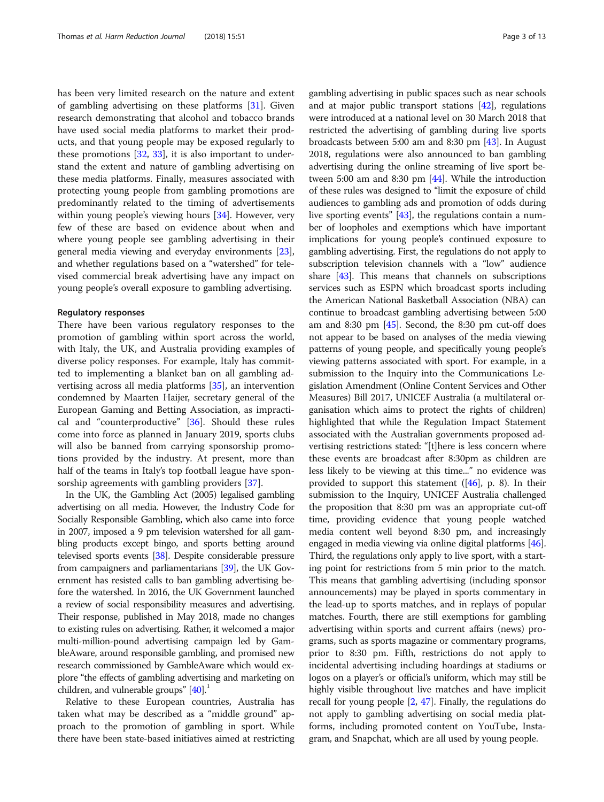has been very limited research on the nature and extent of gambling advertising on these platforms [[31\]](#page-12-0). Given research demonstrating that alcohol and tobacco brands have used social media platforms to market their products, and that young people may be exposed regularly to these promotions  $[32, 33]$  $[32, 33]$  $[32, 33]$  $[32, 33]$ , it is also important to understand the extent and nature of gambling advertising on these media platforms. Finally, measures associated with protecting young people from gambling promotions are predominantly related to the timing of advertisements within young people's viewing hours [[34](#page-12-0)]. However, very few of these are based on evidence about when and where young people see gambling advertising in their general media viewing and everyday environments [\[23](#page-12-0)], and whether regulations based on a "watershed" for televised commercial break advertising have any impact on young people's overall exposure to gambling advertising.

#### Regulatory responses

There have been various regulatory responses to the promotion of gambling within sport across the world, with Italy, the UK, and Australia providing examples of diverse policy responses. For example, Italy has committed to implementing a blanket ban on all gambling advertising across all media platforms [\[35\]](#page-12-0), an intervention condemned by Maarten Haijer, secretary general of the European Gaming and Betting Association, as impractical and "counterproductive" [\[36](#page-12-0)]. Should these rules come into force as planned in January 2019, sports clubs will also be banned from carrying sponsorship promotions provided by the industry. At present, more than half of the teams in Italy's top football league have sponsorship agreements with gambling providers [\[37](#page-12-0)].

In the UK, the Gambling Act (2005) legalised gambling advertising on all media. However, the Industry Code for Socially Responsible Gambling, which also came into force in 2007, imposed a 9 pm television watershed for all gambling products except bingo, and sports betting around televised sports events [\[38\]](#page-12-0). Despite considerable pressure from campaigners and parliamentarians [[39](#page-12-0)], the UK Government has resisted calls to ban gambling advertising before the watershed. In 2016, the UK Government launched a review of social responsibility measures and advertising. Their response, published in May 2018, made no changes to existing rules on advertising. Rather, it welcomed a major multi-million-pound advertising campaign led by GambleAware, around responsible gambling, and promised new research commissioned by GambleAware which would explore "the effects of gambling advertising and marketing on children, and vulnerable groups"  $[40]$ <sup>1</sup>

Relative to these European countries, Australia has taken what may be described as a "middle ground" approach to the promotion of gambling in sport. While there have been state-based initiatives aimed at restricting gambling advertising in public spaces such as near schools and at major public transport stations [[42](#page-12-0)], regulations were introduced at a national level on 30 March 2018 that restricted the advertising of gambling during live sports broadcasts between 5:00 am and 8:30 pm [[43](#page-12-0)]. In August 2018, regulations were also announced to ban gambling advertising during the online streaming of live sport between 5:00 am and 8:30 pm [\[44\]](#page-12-0). While the introduction of these rules was designed to "limit the exposure of child audiences to gambling ads and promotion of odds during live sporting events" [[43](#page-12-0)], the regulations contain a number of loopholes and exemptions which have important implications for young people's continued exposure to gambling advertising. First, the regulations do not apply to subscription television channels with a "low" audience share [\[43\]](#page-12-0). This means that channels on subscriptions services such as ESPN which broadcast sports including the American National Basketball Association (NBA) can continue to broadcast gambling advertising between 5:00 am and 8:30 pm [\[45\]](#page-12-0). Second, the 8:30 pm cut-off does not appear to be based on analyses of the media viewing patterns of young people, and specifically young people's viewing patterns associated with sport. For example, in a submission to the Inquiry into the Communications Legislation Amendment (Online Content Services and Other Measures) Bill 2017, UNICEF Australia (a multilateral organisation which aims to protect the rights of children) highlighted that while the Regulation Impact Statement associated with the Australian governments proposed advertising restrictions stated: "[t]here is less concern where these events are broadcast after 8:30pm as children are less likely to be viewing at this time..." no evidence was provided to support this statement  $([46], p. 8)$  $([46], p. 8)$  $([46], p. 8)$ . In their submission to the Inquiry, UNICEF Australia challenged the proposition that 8:30 pm was an appropriate cut-off time, providing evidence that young people watched media content well beyond 8:30 pm, and increasingly engaged in media viewing via online digital platforms [[46](#page-12-0)]. Third, the regulations only apply to live sport, with a starting point for restrictions from 5 min prior to the match. This means that gambling advertising (including sponsor announcements) may be played in sports commentary in the lead-up to sports matches, and in replays of popular matches. Fourth, there are still exemptions for gambling advertising within sports and current affairs (news) programs, such as sports magazine or commentary programs, prior to 8:30 pm. Fifth, restrictions do not apply to incidental advertising including hoardings at stadiums or logos on a player's or official's uniform, which may still be highly visible throughout live matches and have implicit recall for young people [\[2,](#page-11-0) [47\]](#page-12-0). Finally, the regulations do not apply to gambling advertising on social media platforms, including promoted content on YouTube, Instagram, and Snapchat, which are all used by young people.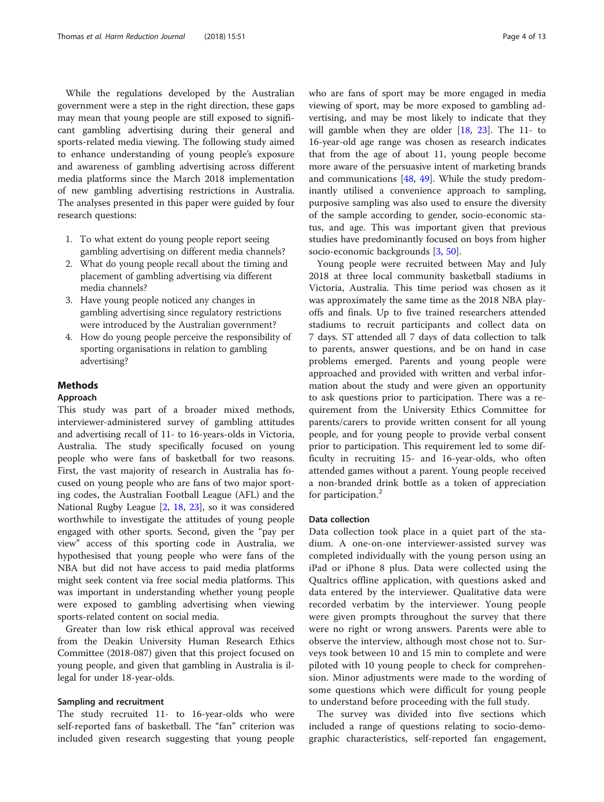While the regulations developed by the Australian government were a step in the right direction, these gaps may mean that young people are still exposed to significant gambling advertising during their general and sports-related media viewing. The following study aimed to enhance understanding of young people's exposure and awareness of gambling advertising across different media platforms since the March 2018 implementation of new gambling advertising restrictions in Australia. The analyses presented in this paper were guided by four research questions:

- 1. To what extent do young people report seeing gambling advertising on different media channels?
- 2. What do young people recall about the timing and placement of gambling advertising via different media channels?
- 3. Have young people noticed any changes in gambling advertising since regulatory restrictions were introduced by the Australian government?
- 4. How do young people perceive the responsibility of sporting organisations in relation to gambling advertising?

#### Methods

#### Approach

This study was part of a broader mixed methods, interviewer-administered survey of gambling attitudes and advertising recall of 11- to 16-years-olds in Victoria, Australia. The study specifically focused on young people who were fans of basketball for two reasons. First, the vast majority of research in Australia has focused on young people who are fans of two major sporting codes, the Australian Football League (AFL) and the National Rugby League [\[2](#page-11-0), [18,](#page-12-0) [23](#page-12-0)], so it was considered worthwhile to investigate the attitudes of young people engaged with other sports. Second, given the "pay per view" access of this sporting code in Australia, we hypothesised that young people who were fans of the NBA but did not have access to paid media platforms might seek content via free social media platforms. This was important in understanding whether young people were exposed to gambling advertising when viewing sports-related content on social media.

Greater than low risk ethical approval was received from the Deakin University Human Research Ethics Committee (2018-087) given that this project focused on young people, and given that gambling in Australia is illegal for under 18-year-olds.

#### Sampling and recruitment

The study recruited 11- to 16-year-olds who were self-reported fans of basketball. The "fan" criterion was included given research suggesting that young people who are fans of sport may be more engaged in media viewing of sport, may be more exposed to gambling advertising, and may be most likely to indicate that they will gamble when they are older  $[18, 23]$  $[18, 23]$  $[18, 23]$  $[18, 23]$ . The 11- to 16-year-old age range was chosen as research indicates that from the age of about 11, young people become more aware of the persuasive intent of marketing brands and communications [\[48](#page-12-0), [49\]](#page-12-0). While the study predominantly utilised a convenience approach to sampling, purposive sampling was also used to ensure the diversity of the sample according to gender, socio-economic status, and age. This was important given that previous studies have predominantly focused on boys from higher socio-economic backgrounds [\[3,](#page-11-0) [50\]](#page-12-0).

Young people were recruited between May and July 2018 at three local community basketball stadiums in Victoria, Australia. This time period was chosen as it was approximately the same time as the 2018 NBA playoffs and finals. Up to five trained researchers attended stadiums to recruit participants and collect data on 7 days. ST attended all 7 days of data collection to talk to parents, answer questions, and be on hand in case problems emerged. Parents and young people were approached and provided with written and verbal information about the study and were given an opportunity to ask questions prior to participation. There was a requirement from the University Ethics Committee for parents/carers to provide written consent for all young people, and for young people to provide verbal consent prior to participation. This requirement led to some difficulty in recruiting 15- and 16-year-olds, who often attended games without a parent. Young people received a non-branded drink bottle as a token of appreciation for participation.<sup>2</sup>

#### Data collection

Data collection took place in a quiet part of the stadium. A one-on-one interviewer-assisted survey was completed individually with the young person using an iPad or iPhone 8 plus. Data were collected using the Qualtrics offline application, with questions asked and data entered by the interviewer. Qualitative data were recorded verbatim by the interviewer. Young people were given prompts throughout the survey that there were no right or wrong answers. Parents were able to observe the interview, although most chose not to. Surveys took between 10 and 15 min to complete and were piloted with 10 young people to check for comprehension. Minor adjustments were made to the wording of some questions which were difficult for young people to understand before proceeding with the full study.

The survey was divided into five sections which included a range of questions relating to socio-demographic characteristics, self-reported fan engagement,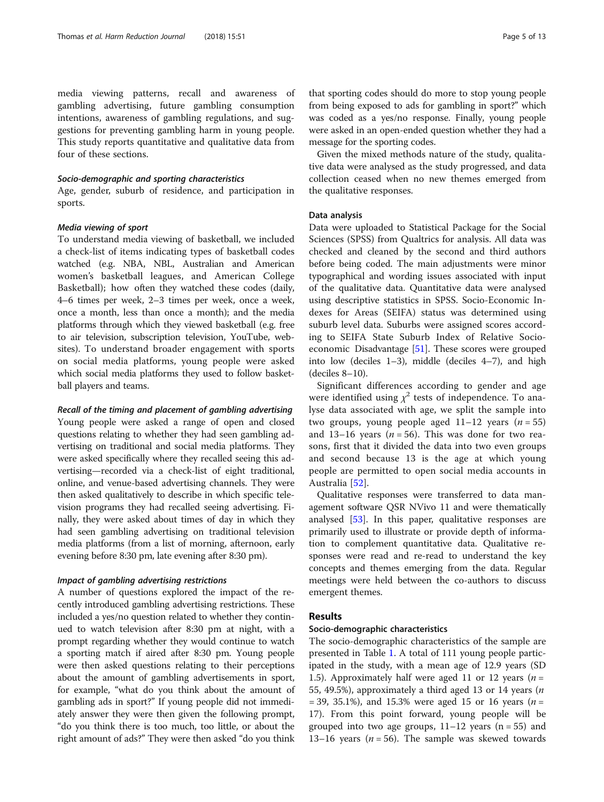media viewing patterns, recall and awareness of gambling advertising, future gambling consumption intentions, awareness of gambling regulations, and suggestions for preventing gambling harm in young people. This study reports quantitative and qualitative data from four of these sections.

#### Socio-demographic and sporting characteristics

Age, gender, suburb of residence, and participation in sports.

#### Media viewing of sport

To understand media viewing of basketball, we included a check-list of items indicating types of basketball codes watched (e.g. NBA, NBL, Australian and American women's basketball leagues, and American College Basketball); how often they watched these codes (daily, 4–6 times per week, 2–3 times per week, once a week, once a month, less than once a month); and the media platforms through which they viewed basketball (e.g. free to air television, subscription television, YouTube, websites). To understand broader engagement with sports on social media platforms, young people were asked which social media platforms they used to follow basketball players and teams.

#### Recall of the timing and placement of gambling advertising

Young people were asked a range of open and closed questions relating to whether they had seen gambling advertising on traditional and social media platforms. They were asked specifically where they recalled seeing this advertising—recorded via a check-list of eight traditional, online, and venue-based advertising channels. They were then asked qualitatively to describe in which specific television programs they had recalled seeing advertising. Finally, they were asked about times of day in which they had seen gambling advertising on traditional television media platforms (from a list of morning, afternoon, early evening before 8:30 pm, late evening after 8:30 pm).

#### Impact of gambling advertising restrictions

A number of questions explored the impact of the recently introduced gambling advertising restrictions. These included a yes/no question related to whether they continued to watch television after 8:30 pm at night, with a prompt regarding whether they would continue to watch a sporting match if aired after 8:30 pm. Young people were then asked questions relating to their perceptions about the amount of gambling advertisements in sport, for example, "what do you think about the amount of gambling ads in sport?" If young people did not immediately answer they were then given the following prompt, "do you think there is too much, too little, or about the right amount of ads?" They were then asked "do you think

that sporting codes should do more to stop young people from being exposed to ads for gambling in sport?" which was coded as a yes/no response. Finally, young people were asked in an open-ended question whether they had a message for the sporting codes.

Given the mixed methods nature of the study, qualitative data were analysed as the study progressed, and data collection ceased when no new themes emerged from the qualitative responses.

#### Data analysis

Data were uploaded to Statistical Package for the Social Sciences (SPSS) from Qualtrics for analysis. All data was checked and cleaned by the second and third authors before being coded. The main adjustments were minor typographical and wording issues associated with input of the qualitative data. Quantitative data were analysed using descriptive statistics in SPSS. Socio-Economic Indexes for Areas (SEIFA) status was determined using suburb level data. Suburbs were assigned scores according to SEIFA State Suburb Index of Relative Socio-economic Disadvantage [\[51](#page-12-0)]. These scores were grouped into low (deciles 1–3), middle (deciles 4–7), and high (deciles 8–10).

Significant differences according to gender and age were identified using  $\chi^2$  tests of independence. To analyse data associated with age, we split the sample into two groups, young people aged  $11-12$  years  $(n = 55)$ and 13–16 years ( $n = 56$ ). This was done for two reasons, first that it divided the data into two even groups and second because 13 is the age at which young people are permitted to open social media accounts in Australia [[52\]](#page-12-0).

Qualitative responses were transferred to data management software QSR NVivo 11 and were thematically analysed [\[53\]](#page-12-0). In this paper, qualitative responses are primarily used to illustrate or provide depth of information to complement quantitative data. Qualitative responses were read and re-read to understand the key concepts and themes emerging from the data. Regular meetings were held between the co-authors to discuss emergent themes.

#### Results

#### Socio-demographic characteristics

The socio-demographic characteristics of the sample are presented in Table [1](#page-6-0). A total of 111 young people participated in the study, with a mean age of 12.9 years (SD 1.5). Approximately half were aged 11 or 12 years ( $n =$ 55, 49.5%), approximately a third aged 13 or 14 years ( $n$  $= 39, 35.1\%$ ), and 15.3% were aged 15 or 16 years (*n* = 17). From this point forward, young people will be grouped into two age groups,  $11-12$  years (n = 55) and 13–16 years ( $n = 56$ ). The sample was skewed towards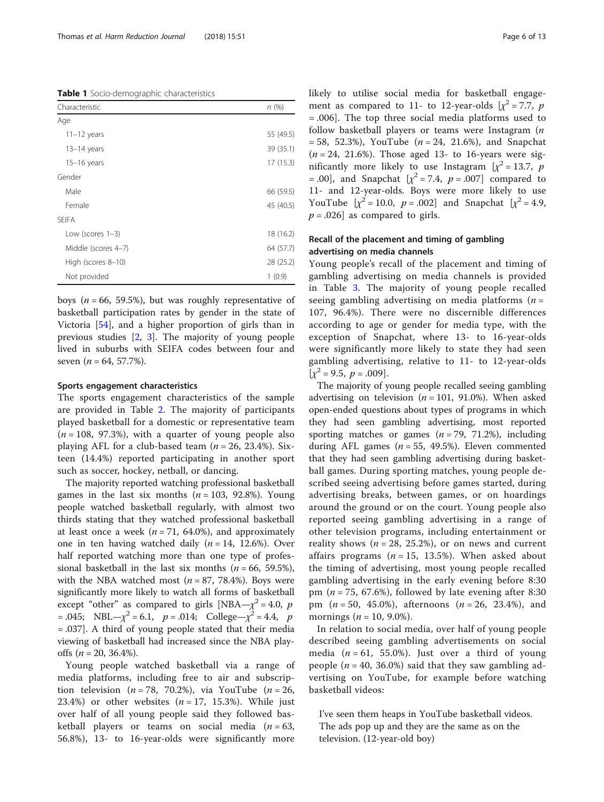<span id="page-6-0"></span>Table 1 Socio-demographic characteristics

| Characteristic      | n(%)      |
|---------------------|-----------|
| Age                 |           |
| $11-12$ years       | 55 (49.5) |
| $13-14$ years       | 39 (35.1) |
| $15-16$ years       | 17(15.3)  |
| Gender              |           |
| Male                | 66 (59.5) |
| Female              | 45 (40.5) |
| <b>SEIFA</b>        |           |
| Low (scores $1-3$ ) | 18 (16.2) |
| Middle (scores 4–7) | 64 (57.7) |
| High (scores 8-10)  | 28 (25.2) |
| Not provided        | 1(0.9)    |

boys ( $n = 66$ , 59.5%), but was roughly representative of basketball participation rates by gender in the state of Victoria [\[54\]](#page-12-0), and a higher proportion of girls than in previous studies [[2,](#page-11-0) [3\]](#page-11-0). The majority of young people lived in suburbs with SEIFA codes between four and seven ( $n = 64, 57.7\%$ ).

#### Sports engagement characteristics

The sports engagement characteristics of the sample are provided in Table [2.](#page-7-0) The majority of participants played basketball for a domestic or representative team  $(n = 108, 97.3%)$ , with a quarter of young people also playing AFL for a club-based team  $(n = 26, 23.4\%)$ . Sixteen (14.4%) reported participating in another sport such as soccer, hockey, netball, or dancing.

The majority reported watching professional basketball games in the last six months  $(n = 103, 92.8\%)$ . Young people watched basketball regularly, with almost two thirds stating that they watched professional basketball at least once a week ( $n = 71$ , 64.0%), and approximately one in ten having watched daily  $(n = 14, 12.6\%)$ . Over half reported watching more than one type of professional basketball in the last six months ( $n = 66, 59.5\%$ ), with the NBA watched most ( $n = 87, 78.4\%$ ). Boys were significantly more likely to watch all forms of basketball except "other" as compared to girls [NBA $-\chi^2$  = 4.0, p  $= .045; \quad \text{NBL} - \chi^2 = 6.1, \quad p = .014; \quad \text{College} - \chi^2 = 4.4, \quad p$ = .037]. A third of young people stated that their media viewing of basketball had increased since the NBA playoffs  $(n = 20, 36.4\%)$ .

Young people watched basketball via a range of media platforms, including free to air and subscription television ( $n = 78$ , 70.2%), via YouTube ( $n = 26$ , 23.4%) or other websites  $(n = 17, 15.3)$ . While just over half of all young people said they followed basketball players or teams on social media  $(n=63,$ 56.8%), 13- to 16-year-olds were significantly more likely to utilise social media for basketball engagement as compared to 11- to 12-year-olds  $[\chi^2 = 7.7, p$ = .006]. The top three social media platforms used to follow basketball players or teams were Instagram (n  $= 58, 52.3\%$ ), YouTube ( $n = 24, 21.6\%$ ), and Snapchat  $(n = 24, 21.6\%)$ . Those aged 13- to 16-years were significantly more likely to use Instagram  $[x^2 = 13.7, p$ = .00], and Snapchat  $[\chi^2 = 7.4, p = .007]$  compared to 11- and 12-year-olds. Boys were more likely to use YouTube  $[x^2 = 10.0, p = .002]$  and Snapchat  $[x^2 = 4.9,$  $p = .026$ ] as compared to girls.

#### Recall of the placement and timing of gambling advertising on media channels

Young people's recall of the placement and timing of gambling advertising on media channels is provided in Table [3](#page-8-0). The majority of young people recalled seeing gambling advertising on media platforms  $(n =$ 107, 96.4%). There were no discernible differences according to age or gender for media type, with the exception of Snapchat, where 13- to 16-year-olds were significantly more likely to state they had seen gambling advertising, relative to 11- to 12-year-olds  $[x^2 = 9.5, p = .009].$ 

The majority of young people recalled seeing gambling advertising on television ( $n = 101$ , 91.0%). When asked open-ended questions about types of programs in which they had seen gambling advertising, most reported sporting matches or games  $(n = 79, 71.2\%)$ , including during AFL games ( $n = 55$ , 49.5%). Eleven commented that they had seen gambling advertising during basketball games. During sporting matches, young people described seeing advertising before games started, during advertising breaks, between games, or on hoardings around the ground or on the court. Young people also reported seeing gambling advertising in a range of other television programs, including entertainment or reality shows ( $n = 28$ , 25.2%), or on news and current affairs programs  $(n = 15, 13.5\%)$ . When asked about the timing of advertising, most young people recalled gambling advertising in the early evening before 8:30 pm ( $n = 75$ , 67.6%), followed by late evening after 8:30 pm  $(n = 50, 45.0\%)$ , afternoons  $(n = 26, 23.4\%)$ , and mornings ( $n = 10, 9.0\%$ ).

In relation to social media, over half of young people described seeing gambling advertisements on social media  $(n = 61, 55.0\%)$ . Just over a third of young people ( $n = 40, 36.0\%$ ) said that they saw gambling advertising on YouTube, for example before watching basketball videos:

I've seen them heaps in YouTube basketball videos. The ads pop up and they are the same as on the television. (12-year-old boy)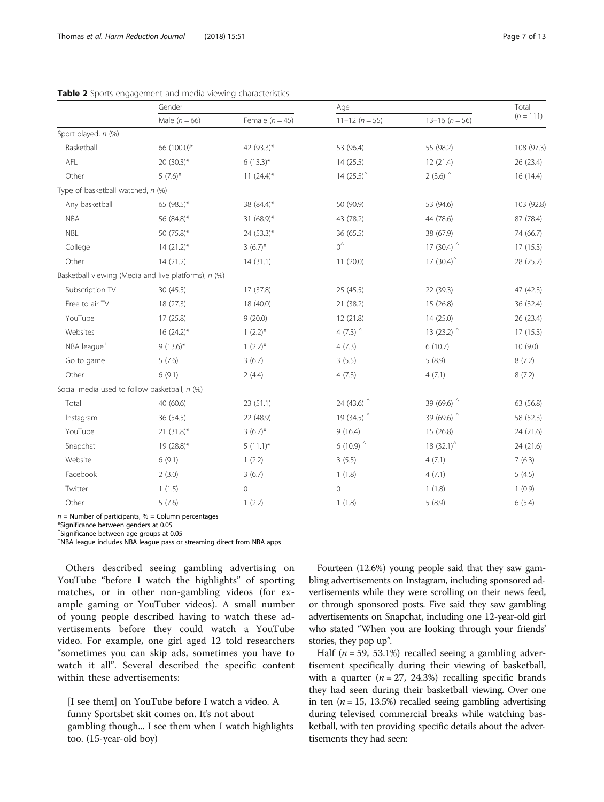<span id="page-7-0"></span>

|                                               | Gender                                               |                   | Age                     |                         | Total       |
|-----------------------------------------------|------------------------------------------------------|-------------------|-------------------------|-------------------------|-------------|
|                                               | Male $(n = 66)$                                      | Female $(n = 45)$ | $11-12(n=55)$           | $13-16 (n=56)$          | $(n = 111)$ |
| Sport played, n (%)                           |                                                      |                   |                         |                         |             |
| Basketball                                    | 66 (100.0)*                                          | 42 (93.3)*        | 53 (96.4)               | 55 (98.2)               | 108 (97.3)  |
| AFL                                           | 20 $(30.3)$ *                                        | $6(13.3)^{*}$     | 14(25.5)                | 12(21.4)                | 26 (23.4)   |
| Other                                         | $5(7.6)^*$                                           | $11 (24.4)^*$     | 14 $(25.5)^{^{\wedge}}$ | 2 (3.6) $^\wedge$       | 16 (14.4)   |
| Type of basketball watched, n (%)             |                                                      |                   |                         |                         |             |
| Any basketball                                | 65 (98.5)*                                           | 38 (84.4)*        | 50 (90.9)               | 53 (94.6)               | 103 (92.8)  |
| <b>NBA</b>                                    | 56 (84.8)*                                           | 31 (68.9)*        | 43 (78.2)               | 44 (78.6)               | 87 (78.4)   |
| <b>NBL</b>                                    | 50 (75.8)*                                           | 24 (53.3)*        | 36 (65.5)               | 38 (67.9)               | 74 (66.7)   |
| College                                       | $14(21.2)^{*}$                                       | $3(6.7)^{*}$      | $0^{\wedge}$            | 17 (30.4) $^{\wedge}$   | 17(15.3)    |
| Other                                         | 14(21.2)                                             | 14(31.1)          | 11(20.0)                | 17 $(30.4)^{^{\wedge}}$ | 28 (25.2)   |
|                                               | Basketball viewing (Media and live platforms), n (%) |                   |                         |                         |             |
| Subscription TV                               | 30(45.5)                                             | 17(37.8)          | 25 (45.5)               | 22 (39.3)               | 47 (42.3)   |
| Free to air TV                                | 18 (27.3)                                            | 18 (40.0)         | 21 (38.2)               | 15 (26.8)               | 36 (32.4)   |
| YouTube                                       | 17(25.8)                                             | 9(20.0)           | 12 (21.8)               | 14(25.0)                | 26 (23.4)   |
| Websites                                      | $16(24.2)^{*}$                                       | $1(2.2)^{*}$      | 4 (7.3) $^{\circ}$      | 13 $(23.2)^{^{\wedge}}$ | 17(15.3)    |
| NBA league <sup>+</sup>                       | $9(13.6)$ *                                          | $1(2.2)^{*}$      | 4(7.3)                  | 6(10.7)                 | 10(9.0)     |
| Go to game                                    | 5(7.6)                                               | 3(6.7)            | 3(5.5)                  | 5(8.9)                  | 8(7.2)      |
| Other                                         | 6(9.1)                                               | 2(4.4)            | 4(7.3)                  | 4(7.1)                  | 8(7.2)      |
| Social media used to follow basketball, n (%) |                                                      |                   |                         |                         |             |
| Total                                         | 40 (60.6)                                            | 23 (51.1)         | 24 (43.6) $^{\circ}$    | 39 (69.6) ^             | 63 (56.8)   |

Instagram 36 (54.5) 22 (48.9) 19 (34.5) 39 (69.6) <sup>^</sup> 39 (69.6) <sup>^</sup> 58 (52.3) YouTube 21 (31.8)\* 3 (6.7)\* 9 (16.4) 3 (16.4) 3 (5.7)\* 9 (16.4) 3 (5.8) 24 (21.6) Snapchat 19 (28.8)\* 5 (11.1)\* 6 (10.9) ^ 18 (32.1)^ 24 (21.6) Website 6 (9.1) 1 (2.2) 3 (5.5) 4 (7.1) 7 (6.3) Facebook 2 (3.0) 3 (6.7) 1 (1.8) 4 (7.1) 5 (4.5) Twitter 1 (1.5) 0 0 0 1 (1.8) 1 (0.9) Other 5 (7.6) 1 (2.2) 1 (1.8) 5 (8.9) 6 (5.4)

Table 2 S

 $n =$  Number of participants, % = Column percentages

\*Significance between genders at 0.05

^ Significance between age groups at 0.05

+ NBA league includes NBA league pass or streaming direct from NBA apps

Others described seeing gambling advertising on YouTube "before I watch the highlights" of sporting matches, or in other non-gambling videos (for example gaming or YouTuber videos). A small number of young people described having to watch these advertisements before they could watch a YouTube video. For example, one girl aged 12 told researchers "sometimes you can skip ads, sometimes you have to watch it all". Several described the specific content within these advertisements:

[I see them] on YouTube before I watch a video. A funny Sportsbet skit comes on. It's not about gambling though... I see them when I watch highlights too. (15-year-old boy)

Fourteen (12.6%) young people said that they saw gambling advertisements on Instagram, including sponsored advertisements while they were scrolling on their news feed, or through sponsored posts. Five said they saw gambling advertisements on Snapchat, including one 12-year-old girl who stated "When you are looking through your friends' stories, they pop up".

Half ( $n = 59$ , 53.1%) recalled seeing a gambling advertisement specifically during their viewing of basketball, with a quarter ( $n = 27$ , 24.3%) recalling specific brands they had seen during their basketball viewing. Over one in ten ( $n = 15$ , 13.5%) recalled seeing gambling advertising during televised commercial breaks while watching basketball, with ten providing specific details about the advertisements they had seen: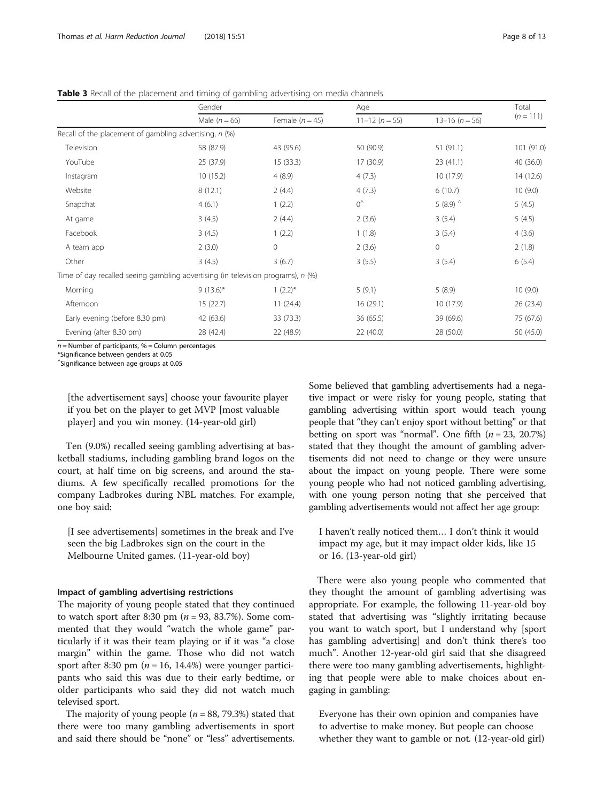|                                                                                  | Gender          |                   | Age                |                      | Total       |
|----------------------------------------------------------------------------------|-----------------|-------------------|--------------------|----------------------|-------------|
|                                                                                  | Male $(n = 66)$ | Female $(n = 45)$ | $11 - 12 (n = 55)$ | $13-16$ ( $n = 56$ ) | $(n = 111)$ |
| Recall of the placement of gambling advertising, $n$ (%)                         |                 |                   |                    |                      |             |
| <b>Television</b>                                                                | 58 (87.9)       | 43 (95.6)         | 50 (90.9)          | 51(91.1)             | 101 (91.0)  |
| YouTube                                                                          | 25 (37.9)       | 15(33.3)          | 17 (30.9)          | 23(41.1)             | 40 (36.0)   |
| Instagram                                                                        | 10(15.2)        | 4(8.9)            | 4(7.3)             | 10 (17.9)            | 14 (12.6)   |
| Website                                                                          | 8(12.1)         | 2(4.4)            | 4(7.3)             | 6(10.7)              | 10(9.0)     |
| Snapchat                                                                         | 4(6.1)          | 1(2.2)            | $0^{\wedge}$       | 5 (8.9) $^{\circ}$   | 5(4.5)      |
| At game                                                                          | 3(4.5)          | 2(4.4)            | 2(3.6)             | 3(5.4)               | 5(4.5)      |
| Facebook                                                                         | 3(4.5)          | 1(2.2)            | 1(1.8)             | 3(5.4)               | 4(3.6)      |
| A team app                                                                       | 2(3.0)          | $\mathbf{0}$      | 2(3.6)             | 0                    | 2(1.8)      |
| Other                                                                            | 3(4.5)          | 3(6.7)            | 3(5.5)             | 3(5.4)               | 6(5.4)      |
| Time of day recalled seeing gambling advertising (in television programs), n (%) |                 |                   |                    |                      |             |
| Morning                                                                          | $9(13.6)^*$     | $1(2.2)^{*}$      | 5(9.1)             | 5(8.9)               | 10(9.0)     |
| Afternoon                                                                        | 15(22.7)        | 11(24.4)          | 16(29.1)           | 10 (17.9)            | 26 (23.4)   |
| Early evening (before 8.30 pm)                                                   | 42 (63.6)       | 33 (73.3)         | 36(65.5)           | 39 (69.6)            | 75 (67.6)   |
| Evening (after 8.30 pm)                                                          | 28 (42.4)       | 22 (48.9)         | 22(40.0)           | 28 (50.0)            | 50 (45.0)   |

<span id="page-8-0"></span>Table 3 Recall of the placement and timing of gambling advertising on media channels

 $n =$  Number of participants, % = Column percentages

\*Significance between genders at 0.05

^ Significance between age groups at 0.05

[the advertisement says] choose your favourite player if you bet on the player to get MVP [most valuable player] and you win money. (14-year-old girl)

Ten (9.0%) recalled seeing gambling advertising at basketball stadiums, including gambling brand logos on the court, at half time on big screens, and around the stadiums. A few specifically recalled promotions for the company Ladbrokes during NBL matches. For example, one boy said:

[I see advertisements] sometimes in the break and I've seen the big Ladbrokes sign on the court in the Melbourne United games. (11-year-old boy)

#### Impact of gambling advertising restrictions

The majority of young people stated that they continued to watch sport after 8:30 pm ( $n = 93, 83.7\%$ ). Some commented that they would "watch the whole game" particularly if it was their team playing or if it was "a close margin" within the game. Those who did not watch sport after 8:30 pm ( $n = 16$ , 14.4%) were younger participants who said this was due to their early bedtime, or older participants who said they did not watch much televised sport.

The majority of young people ( $n = 88, 79.3%$ ) stated that there were too many gambling advertisements in sport and said there should be "none" or "less" advertisements. Some believed that gambling advertisements had a negative impact or were risky for young people, stating that gambling advertising within sport would teach young people that "they can't enjoy sport without betting" or that betting on sport was "normal". One fifth  $(n = 23, 20.7\%)$ stated that they thought the amount of gambling advertisements did not need to change or they were unsure about the impact on young people. There were some young people who had not noticed gambling advertising, with one young person noting that she perceived that gambling advertisements would not affect her age group:

I haven't really noticed them… I don't think it would impact my age, but it may impact older kids, like 15 or 16. (13-year-old girl)

There were also young people who commented that they thought the amount of gambling advertising was appropriate. For example, the following 11-year-old boy stated that advertising was "slightly irritating because you want to watch sport, but I understand why [sport has gambling advertising] and don't think there's too much". Another 12-year-old girl said that she disagreed there were too many gambling advertisements, highlighting that people were able to make choices about engaging in gambling:

Everyone has their own opinion and companies have to advertise to make money. But people can choose whether they want to gamble or not. (12-year-old girl)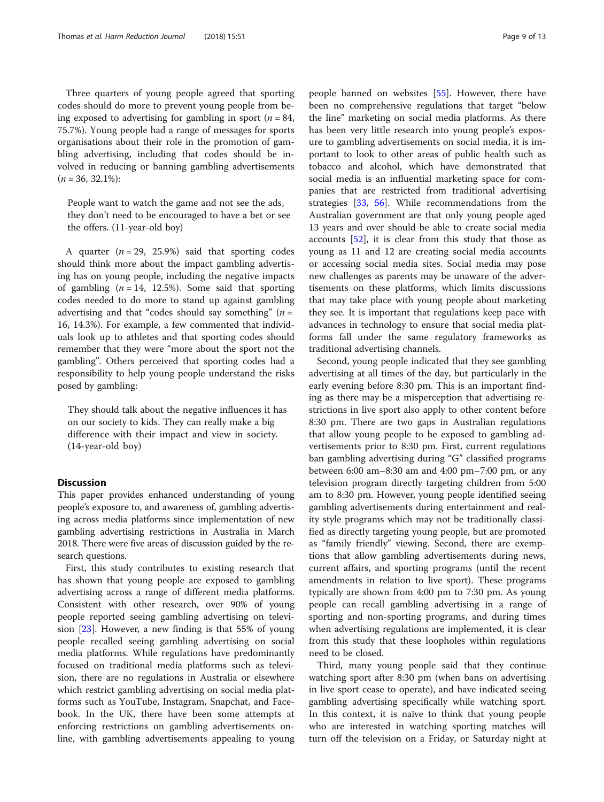Three quarters of young people agreed that sporting codes should do more to prevent young people from being exposed to advertising for gambling in sport ( $n = 84$ , 75.7%). Young people had a range of messages for sports organisations about their role in the promotion of gambling advertising, including that codes should be involved in reducing or banning gambling advertisements  $(n = 36, 32.1\%)$ :

People want to watch the game and not see the ads, they don't need to be encouraged to have a bet or see the offers. (11-year-old boy)

A quarter  $(n = 29, 25.9%)$  said that sporting codes should think more about the impact gambling advertising has on young people, including the negative impacts of gambling  $(n = 14, 12.5\%)$ . Some said that sporting codes needed to do more to stand up against gambling advertising and that "codes should say something" ( $n =$ 16, 14.3%). For example, a few commented that individuals look up to athletes and that sporting codes should remember that they were "more about the sport not the gambling". Others perceived that sporting codes had a responsibility to help young people understand the risks posed by gambling:

They should talk about the negative influences it has on our society to kids. They can really make a big difference with their impact and view in society. (14-year-old boy)

#### **Discussion**

This paper provides enhanced understanding of young people's exposure to, and awareness of, gambling advertising across media platforms since implementation of new gambling advertising restrictions in Australia in March 2018. There were five areas of discussion guided by the research questions.

First, this study contributes to existing research that has shown that young people are exposed to gambling advertising across a range of different media platforms. Consistent with other research, over 90% of young people reported seeing gambling advertising on television [[23](#page-12-0)]. However, a new finding is that 55% of young people recalled seeing gambling advertising on social media platforms. While regulations have predominantly focused on traditional media platforms such as television, there are no regulations in Australia or elsewhere which restrict gambling advertising on social media platforms such as YouTube, Instagram, Snapchat, and Facebook. In the UK, there have been some attempts at enforcing restrictions on gambling advertisements online, with gambling advertisements appealing to young people banned on websites [\[55](#page-12-0)]. However, there have been no comprehensive regulations that target "below the line" marketing on social media platforms. As there has been very little research into young people's exposure to gambling advertisements on social media, it is important to look to other areas of public health such as tobacco and alcohol, which have demonstrated that social media is an influential marketing space for companies that are restricted from traditional advertising strategies [[33,](#page-12-0) [56](#page-12-0)]. While recommendations from the Australian government are that only young people aged 13 years and over should be able to create social media accounts [[52](#page-12-0)], it is clear from this study that those as young as 11 and 12 are creating social media accounts or accessing social media sites. Social media may pose new challenges as parents may be unaware of the advertisements on these platforms, which limits discussions that may take place with young people about marketing they see. It is important that regulations keep pace with advances in technology to ensure that social media platforms fall under the same regulatory frameworks as traditional advertising channels.

Second, young people indicated that they see gambling advertising at all times of the day, but particularly in the early evening before 8:30 pm. This is an important finding as there may be a misperception that advertising restrictions in live sport also apply to other content before 8:30 pm. There are two gaps in Australian regulations that allow young people to be exposed to gambling advertisements prior to 8:30 pm. First, current regulations ban gambling advertising during "G" classified programs between 6:00 am–8:30 am and 4:00 pm–7:00 pm, or any television program directly targeting children from 5:00 am to 8:30 pm. However, young people identified seeing gambling advertisements during entertainment and reality style programs which may not be traditionally classified as directly targeting young people, but are promoted as "family friendly" viewing. Second, there are exemptions that allow gambling advertisements during news, current affairs, and sporting programs (until the recent amendments in relation to live sport). These programs typically are shown from 4:00 pm to 7:30 pm. As young people can recall gambling advertising in a range of sporting and non-sporting programs, and during times when advertising regulations are implemented, it is clear from this study that these loopholes within regulations need to be closed.

Third, many young people said that they continue watching sport after 8:30 pm (when bans on advertising in live sport cease to operate), and have indicated seeing gambling advertising specifically while watching sport. In this context, it is naïve to think that young people who are interested in watching sporting matches will turn off the television on a Friday, or Saturday night at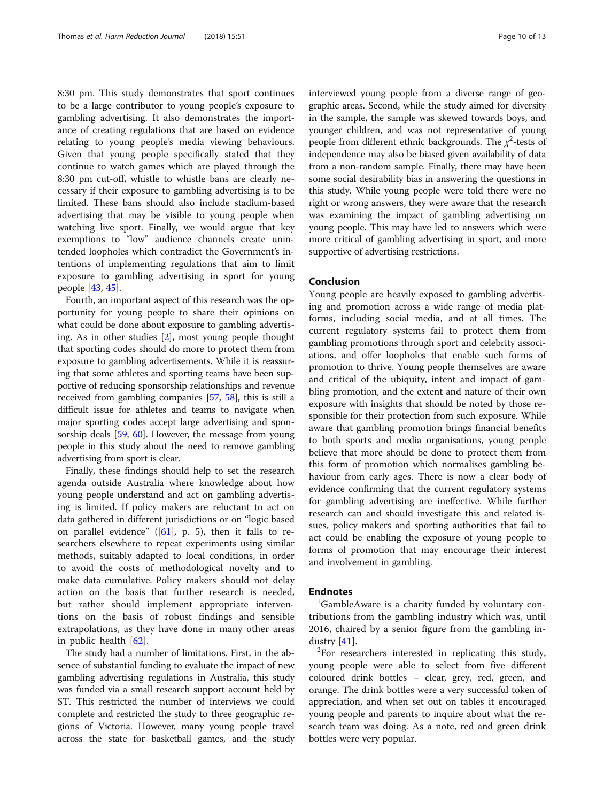8:30 pm. This study demonstrates that sport continues to be a large contributor to young people's exposure to gambling advertising. It also demonstrates the importance of creating regulations that are based on evidence relating to young people's media viewing behaviours. Given that young people specifically stated that they continue to watch games which are played through the 8:30 pm cut-off, whistle to whistle bans are clearly necessary if their exposure to gambling advertising is to be limited. These bans should also include stadium-based advertising that may be visible to young people when watching live sport. Finally, we would argue that key exemptions to "low" audience channels create unintended loopholes which contradict the Government's intentions of implementing regulations that aim to limit exposure to gambling advertising in sport for young people [[43](#page-12-0), [45](#page-12-0)].

Fourth, an important aspect of this research was the opportunity for young people to share their opinions on what could be done about exposure to gambling advertising. As in other studies [\[2\]](#page-11-0), most young people thought that sporting codes should do more to protect them from exposure to gambling advertisements. While it is reassuring that some athletes and sporting teams have been supportive of reducing sponsorship relationships and revenue received from gambling companies [\[57](#page-12-0), [58](#page-12-0)], this is still a difficult issue for athletes and teams to navigate when major sporting codes accept large advertising and sponsorship deals [[59](#page-13-0), [60\]](#page-13-0). However, the message from young people in this study about the need to remove gambling advertising from sport is clear.

Finally, these findings should help to set the research agenda outside Australia where knowledge about how young people understand and act on gambling advertising is limited. If policy makers are reluctant to act on data gathered in different jurisdictions or on "logic based on parallel evidence"  $([61]$  $([61]$ , p. 5), then it falls to researchers elsewhere to repeat experiments using similar methods, suitably adapted to local conditions, in order to avoid the costs of methodological novelty and to make data cumulative. Policy makers should not delay action on the basis that further research is needed, but rather should implement appropriate interventions on the basis of robust findings and sensible extrapolations, as they have done in many other areas in public health [\[62](#page-13-0)].

The study had a number of limitations. First, in the absence of substantial funding to evaluate the impact of new gambling advertising regulations in Australia, this study was funded via a small research support account held by ST. This restricted the number of interviews we could complete and restricted the study to three geographic regions of Victoria. However, many young people travel across the state for basketball games, and the study interviewed young people from a diverse range of geographic areas. Second, while the study aimed for diversity in the sample, the sample was skewed towards boys, and younger children, and was not representative of young people from different ethnic backgrounds. The  $\chi^2$ -tests of independence may also be biased given availability of data from a non-random sample. Finally, there may have been some social desirability bias in answering the questions in this study. While young people were told there were no right or wrong answers, they were aware that the research was examining the impact of gambling advertising on young people. This may have led to answers which were more critical of gambling advertising in sport, and more supportive of advertising restrictions.

#### Conclusion

Young people are heavily exposed to gambling advertising and promotion across a wide range of media platforms, including social media, and at all times. The current regulatory systems fail to protect them from gambling promotions through sport and celebrity associations, and offer loopholes that enable such forms of promotion to thrive. Young people themselves are aware and critical of the ubiquity, intent and impact of gambling promotion, and the extent and nature of their own exposure with insights that should be noted by those responsible for their protection from such exposure. While aware that gambling promotion brings financial benefits to both sports and media organisations, young people believe that more should be done to protect them from this form of promotion which normalises gambling behaviour from early ages. There is now a clear body of evidence confirming that the current regulatory systems for gambling advertising are ineffective. While further research can and should investigate this and related issues, policy makers and sporting authorities that fail to act could be enabling the exposure of young people to forms of promotion that may encourage their interest and involvement in gambling.

#### **Endnotes**

<sup>1</sup>GambleAware is a charity funded by voluntary contributions from the gambling industry which was, until 2016, chaired by a senior figure from the gambling industry  $[41]$  $[41]$  $[41]$ .

For researchers interested in replicating this study, young people were able to select from five different coloured drink bottles – clear, grey, red, green, and orange. The drink bottles were a very successful token of appreciation, and when set out on tables it encouraged young people and parents to inquire about what the research team was doing. As a note, red and green drink bottles were very popular.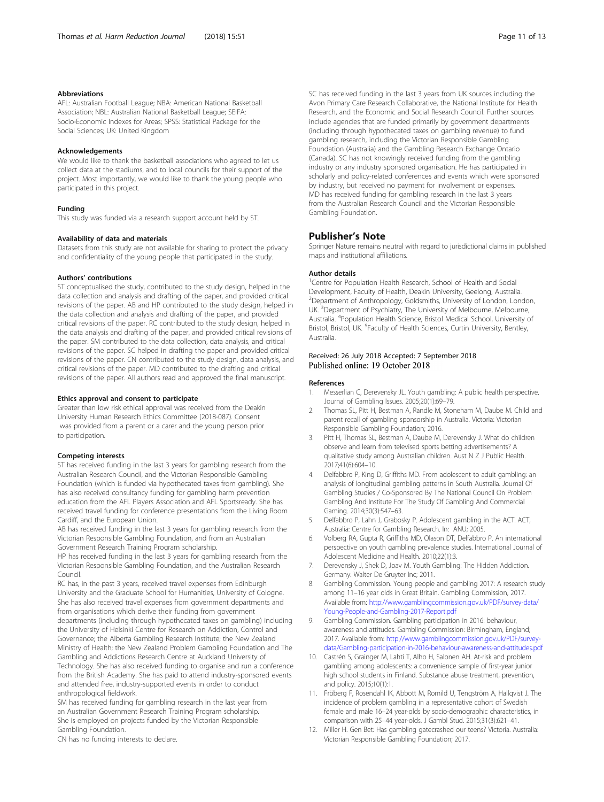#### <span id="page-11-0"></span>Abbreviations

AFL: Australian Football League; NBA: American National Basketball Association; NBL: Australian National Basketball League; SEIFA: Socio-Economic Indexes for Areas; SPSS: Statistical Package for the Social Sciences; UK: United Kingdom

#### Acknowledgements

We would like to thank the basketball associations who agreed to let us collect data at the stadiums, and to local councils for their support of the project. Most importantly, we would like to thank the young people who participated in this project.

#### Funding

This study was funded via a research support account held by ST.

#### Availability of data and materials

Datasets from this study are not available for sharing to protect the privacy and confidentiality of the young people that participated in the study.

#### Authors' contributions

ST conceptualised the study, contributed to the study design, helped in the data collection and analysis and drafting of the paper, and provided critical revisions of the paper. AB and HP contributed to the study design, helped in the data collection and analysis and drafting of the paper, and provided critical revisions of the paper. RC contributed to the study design, helped in the data analysis and drafting of the paper, and provided critical revisions of the paper. SM contributed to the data collection, data analysis, and critical revisions of the paper. SC helped in drafting the paper and provided critical revisions of the paper. CN contributed to the study design, data analysis, and critical revisions of the paper. MD contributed to the drafting and critical revisions of the paper. All authors read and approved the final manuscript.

#### Ethics approval and consent to participate

Greater than low risk ethical approval was received from the Deakin University Human Research Ethics Committee (2018-087). Consent was provided from a parent or a carer and the young person prior to participation.

#### Competing interests

ST has received funding in the last 3 years for gambling research from the Australian Research Council, and the Victorian Responsible Gambling Foundation (which is funded via hypothecated taxes from gambling). She has also received consultancy funding for gambling harm prevention education from the AFL Players Association and AFL Sportsready. She has received travel funding for conference presentations from the Living Room Cardiff, and the European Union.

AB has received funding in the last 3 years for gambling research from the Victorian Responsible Gambling Foundation, and from an Australian Government Research Training Program scholarship.

HP has received funding in the last 3 years for gambling research from the Victorian Responsible Gambling Foundation, and the Australian Research Council.

RC has, in the past 3 years, received travel expenses from Edinburgh University and the Graduate School for Humanities, University of Cologne. She has also received travel expenses from government departments and from organisations which derive their funding from government departments (including through hypothecated taxes on gambling) including the University of Helsinki Centre for Research on Addiction, Control and Governance; the Alberta Gambling Research Institute; the New Zealand Ministry of Health; the New Zealand Problem Gambling Foundation and The Gambling and Addictions Research Centre at Auckland University of Technology. She has also received funding to organise and run a conference from the British Academy. She has paid to attend industry-sponsored events and attended free, industry-supported events in order to conduct anthropological fieldwork.

SM has received funding for gambling research in the last year from an Australian Government Research Training Program scholarship. She is employed on projects funded by the Victorian Responsible Gambling Foundation.

CN has no funding interests to declare.

SC has received funding in the last 3 years from UK sources including the Avon Primary Care Research Collaborative, the National Institute for Health Research, and the Economic and Social Research Council. Further sources include agencies that are funded primarily by government departments (including through hypothecated taxes on gambling revenue) to fund gambling research, including the Victorian Responsible Gambling Foundation (Australia) and the Gambling Research Exchange Ontario (Canada). SC has not knowingly received funding from the gambling industry or any industry sponsored organisation. He has participated in scholarly and policy-related conferences and events which were sponsored by industry, but received no payment for involvement or expenses. MD has received funding for gambling research in the last 3 years from the Australian Research Council and the Victorian Responsible Gambling Foundation.

#### Publisher's Note

Springer Nature remains neutral with regard to jurisdictional claims in published maps and institutional affiliations.

#### Author details

<sup>1</sup> Centre for Population Health Research, School of Health and Social Development, Faculty of Health, Deakin University, Geelong, Australia. 2 Department of Anthropology, Goldsmiths, University of London, London, UK.<sup>3</sup> Department of Psychiatry, The University of Melbourne, Melbourne, Australia. <sup>4</sup> Population Health Science, Bristol Medical School, University of Bristol, Bristol, UK. <sup>5</sup> Faculty of Health Sciences, Curtin University, Bentley, Australia.

#### Received: 26 July 2018 Accepted: 7 September 2018 Published online: 19 October 2018

#### References

- 1. Messerlian C, Derevensky JL. Youth gambling: A public health perspective. Journal of Gambling Issues. 2005;20(1):69–79.
- 2. Thomas SL, Pitt H, Bestman A, Randle M, Stoneham M, Daube M. Child and parent recall of gambling sponsorship in Australia. Victoria: Victorian Responsible Gambling Foundation; 2016.
- 3. Pitt H, Thomas SL, Bestman A, Daube M, Derevensky J. What do children observe and learn from televised sports betting advertisements? A qualitative study among Australian children. Aust N Z J Public Health. 2017;41(6):604–10.
- 4. Delfabbro P, King D, Griffiths MD. From adolescent to adult gambling: an analysis of longitudinal gambling patterns in South Australia. Journal Of Gambling Studies / Co-Sponsored By The National Council On Problem Gambling And Institute For The Study Of Gambling And Commercial Gaming. 2014;30(3):547–63.
- 5. Delfabbro P, Lahn J, Grabosky P. Adolescent gambling in the ACT. ACT, Australia: Centre for Gambling Research. In: ANU; 2005.
- 6. Volberg RA, Gupta R, Griffiths MD, Olason DT, Delfabbro P. An international perspective on youth gambling prevalence studies. International Journal of Adolescent Medicine and Health. 2010;22(1):3.
- 7. Derevensky J, Shek D, Joav M. Youth Gambling: The Hidden Addiction. Germany: Walter De Gruyter Inc; 2011.
- 8. Gambling Commission. Young people and gambling 2017: A research study among 11–16 year olds in Great Britain. Gambling Commission, 2017. Available from: [http://www.gamblingcommission.gov.uk/PDF/survey-data/](http://www.gamblingcommission.gov.uk/PDF/survey-data/Young-People-and-Gambling-2017-Report.pdf) [Young-People-and-Gambling-2017-Report.pdf](http://www.gamblingcommission.gov.uk/PDF/survey-data/Young-People-and-Gambling-2017-Report.pdf)
- 9. Gambling Commission. Gambling participation in 2016: behaviour, awareness and attitudes. Gambling Commission: Birmingham, England; 2017. Available from: [http://www.gamblingcommission.gov.uk/PDF/survey](http://www.gamblingcommission.gov.uk/PDF/survey-data/Gambling-participation-in-2016-behaviour-awareness-and-attitudes.pdf)[data/Gambling-participation-in-2016-behaviour-awareness-and-attitudes.pdf](http://www.gamblingcommission.gov.uk/PDF/survey-data/Gambling-participation-in-2016-behaviour-awareness-and-attitudes.pdf)
- 10. Castrén S, Grainger M, Lahti T, Alho H, Salonen AH. At-risk and problem gambling among adolescents: a convenience sample of first-year junior high school students in Finland. Substance abuse treatment, prevention, and policy. 2015;10(1):1.
- 11. Fröberg F, Rosendahl IK, Abbott M, Romild U, Tengström A, Hallqvist J. The incidence of problem gambling in a representative cohort of Swedish female and male 16–24 year-olds by socio-demographic characteristics, in comparison with 25–44 year-olds. J Gambl Stud. 2015;31(3):621–41.
- 12. Miller H. Gen Bet: Has gambling gatecrashed our teens? Victoria. Australia: Victorian Responsible Gambling Foundation; 2017.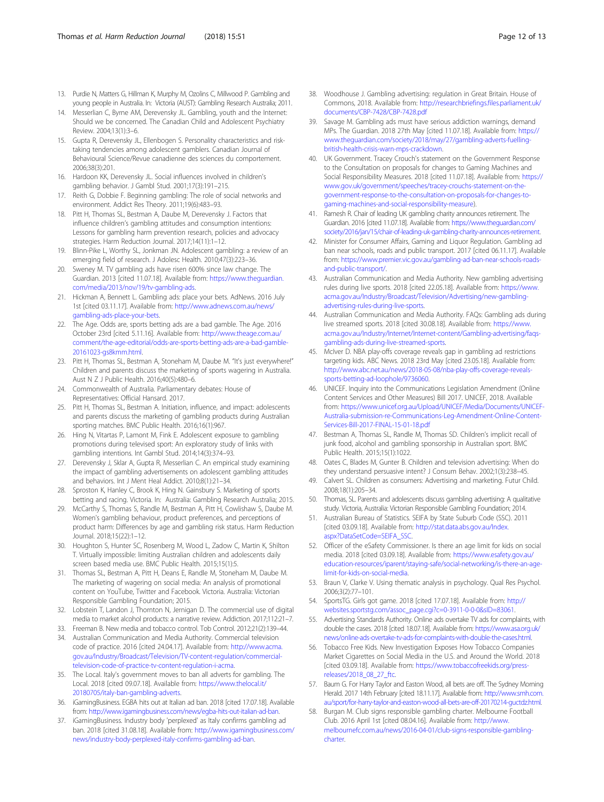- <span id="page-12-0"></span>13. Purdie N, Matters G, Hillman K, Murphy M, Ozolins C, Millwood P. Gambling and young people in Australia. In: Victoria (AUST): Gambling Research Australia; 2011.
- 14. Messerlian C, Byrne AM, Derevensky JL. Gambling, youth and the Internet: Should we be concerned. The Canadian Child and Adolescent Psychiatry Review. 2004;13(1):3–6.
- 15. Gupta R, Derevensky JL, Ellenbogen S. Personality characteristics and risktaking tendencies among adolescent gamblers. Canadian Journal of Behavioural Science/Revue canadienne des sciences du comportement. 2006;38(3):201.
- 16. Hardoon KK, Derevensky JL. Social influences involved in children's gambling behavior. J Gambl Stud. 2001;17(3):191–215.
- 17. Reith G, Dobbie F. Beginning gambling: The role of social networks and environment. Addict Res Theory. 2011;19(6):483–93.
- 18. Pitt H, Thomas SL, Bestman A, Daube M, Derevensky J. Factors that influence children's gambling attitudes and consumption intentions: Lessons for gambling harm prevention research, policies and advocacy strategies. Harm Reduction Journal. 2017;14(11):1–12.
- 19. Blinn-Pike L, Worthy SL, Jonkman JN. Adolescent gambling: a review of an emerging field of research. J Adolesc Health. 2010;47(3):223–36.
- 20. Sweney M. TV gambling ads have risen 600% since law change. The Guardian. 2013 [cited 11.07.18]. Available from: [https://www.theguardian.](https://www.theguardian.com/media/2013/nov/19/tv-gambling-ads) [com/media/2013/nov/19/tv-gambling-ads](https://www.theguardian.com/media/2013/nov/19/tv-gambling-ads).
- 21. Hickman A, Bennett L. Gambling ads: place your bets. AdNews. 2016 July 1st [cited 03.11.17]. Available from: [http://www.adnews.com.au/news/](http://www.adnews.com.au/news/gambling-ads-place-your-bets) [gambling-ads-place-your-bets.](http://www.adnews.com.au/news/gambling-ads-place-your-bets)
- 22. The Age. Odds are, sports betting ads are a bad gamble. The Age. 2016 October 23rd [cited 5.11.16]. Available from: [http://www.theage.com.au/](http://www.theage.com.au/comment/the-age-editorial/odds-are-sports-betting-ads-are-a-bad-gamble-20161023-gs8kmm.html) [comment/the-age-editorial/odds-are-sports-betting-ads-are-a-bad-gamble-](http://www.theage.com.au/comment/the-age-editorial/odds-are-sports-betting-ads-are-a-bad-gamble-20161023-gs8kmm.html)[20161023-gs8kmm.html.](http://www.theage.com.au/comment/the-age-editorial/odds-are-sports-betting-ads-are-a-bad-gamble-20161023-gs8kmm.html)
- 23. Pitt H, Thomas SL, Bestman A, Stoneham M, Daube M. "It's just everywhere!" Children and parents discuss the marketing of sports wagering in Australia. Aust N Z J Public Health. 2016;40(5):480–6.
- 24. Commonwealth of Australia. Parliamentary debates: House of Representatives: Official Hansard. 2017.
- 25. Pitt H, Thomas SL, Bestman A. Initiation, influence, and impact: adolescents and parents discuss the marketing of gambling products during Australian sporting matches. BMC Public Health. 2016;16(1):967.
- 26. Hing N, Vitartas P, Lamont M, Fink E. Adolescent exposure to gambling promotions during televised sport: An exploratory study of links with gambling intentions. Int Gambl Stud. 2014;14(3):374–93.
- 27. Derevensky J, Sklar A, Gupta R, Messerlian C. An empirical study examining the impact of gambling advertisements on adolescent gambling attitudes and behaviors. Int J Ment Heal Addict. 2010;8(1):21–34.
- 28. Sproston K, Hanley C, Brook K, Hing N. Gainsbury S. Marketing of sports betting and racing. Victoria. In: Australia: Gambling Research Australia; 2015.
- 29. McCarthy S, Thomas S, Randle M, Bestman A, Pitt H, Cowlishaw S, Daube M. Women's gambling behaviour, product preferences, and perceptions of product harm: Differences by age and gambling risk status. Harm Reduction Journal. 2018;15(22):1–12.
- 30. Houghton S, Hunter SC, Rosenberg M, Wood L, Zadow C, Martin K, Shilton T. Virtually impossible: limiting Australian children and adolescents daily screen based media use. BMC Public Health. 2015;15(1):5.
- 31. Thomas SL, Bestman A, Pitt H, Deans E, Randle M, Stoneham M, Daube M. The marketing of wagering on social media: An analysis of promotional content on YouTube, Twitter and Facebook. Victoria. Australia: Victorian Responsible Gambling Foundation; 2015.
- 32. Lobstein T, Landon J, Thornton N, Jernigan D. The commercial use of digital media to market alcohol products: a narrative review. Addiction. 2017;112:21–7.
- 33. Freeman B. New media and tobacco control. Tob Control. 2012;21(2):139–44.
- 34. Australian Communication and Media Authority. Commercial television code of practice. 2016 [cited 24.04.17]. Available from: [http://www.acma.](http://www.acma.gov.au/Industry/Broadcast/Television/TV-content-regulation/commercial-television-code-of-practice-tv-content-regulation-i-acma) [gov.au/Industry/Broadcast/Television/TV-content-regulation/commercial](http://www.acma.gov.au/Industry/Broadcast/Television/TV-content-regulation/commercial-television-code-of-practice-tv-content-regulation-i-acma)[television-code-of-practice-tv-content-regulation-i-acma.](http://www.acma.gov.au/Industry/Broadcast/Television/TV-content-regulation/commercial-television-code-of-practice-tv-content-regulation-i-acma)
- 35. The Local. Italy's government moves to ban all adverts for gambling. The Local. 2018 [cited 09.07.18]. Available from: [https://www.thelocal.it/](https://www.thelocal.it/20180705/italy-ban-gambling-adverts) [20180705/italy-ban-gambling-adverts.](https://www.thelocal.it/20180705/italy-ban-gambling-adverts)
- 36. iGamingBusiness. EGBA hits out at Italian ad ban. 2018 [cited 17.07.18]. Available from: [http://www.igamingbusiness.com/news/egba-hits-out-italian-ad-ban.](http://www.igamingbusiness.com/news/egba-hits-out-italian-ad-ban)
- 37. iGamingBusiness. Industry body 'perplexed' as Italy confirms gambling ad ban. 2018 [cited 31.08.18]. Available from: [http://www.igamingbusiness.com/](http://www.igamingbusiness.com/news/industry-body-perplexed-italy-confirms-gambling-ad-ban) [news/industry-body-perplexed-italy-confirms-gambling-ad-ban](http://www.igamingbusiness.com/news/industry-body-perplexed-italy-confirms-gambling-ad-ban).
- 38. Woodhouse J. Gambling advertising: regulation in Great Britain. House of Commons, 2018. Available from: [http://researchbriefings.files.parliament.uk/](http://researchbriefings.files.parliament.uk/documents/CBP-7428/CBP-7428.pdf) [documents/CBP-7428/CBP-7428.pdf](http://researchbriefings.files.parliament.uk/documents/CBP-7428/CBP-7428.pdf)
- 39. Savage M. Gambling ads must have serious addiction warnings, demand MPs. The Guardian. 2018 27th May [cited 11.07.18]. Available from: [https://](https://www.theguardian.com/society/2018/may/27/gambling-adverts-fuelling-british-health-crisis-warn-mps-crackdown) [www.theguardian.com/society/2018/may/27/gambling-adverts-fuelling](https://www.theguardian.com/society/2018/may/27/gambling-adverts-fuelling-british-health-crisis-warn-mps-crackdown)[british-health-crisis-warn-mps-crackdown](https://www.theguardian.com/society/2018/may/27/gambling-adverts-fuelling-british-health-crisis-warn-mps-crackdown).
- 40. UK Government. Tracey Crouch's statement on the Government Response to the Consultation on proposals for changes to Gaming Machines and Social Responsibility Measures. 2018 [cited 11.07.18]. Available from: [https://](https://www.gov.uk/government/speeches/tracey-crouchs-statement-on-the-government-response-to-the-consultation-on-proposals-for-changes-to-gaming-machines-and-social-responsibility-measure) [www.gov.uk/government/speeches/tracey-crouchs-statement-on-the](https://www.gov.uk/government/speeches/tracey-crouchs-statement-on-the-government-response-to-the-consultation-on-proposals-for-changes-to-gaming-machines-and-social-responsibility-measure)[government-response-to-the-consultation-on-proposals-for-changes-to](https://www.gov.uk/government/speeches/tracey-crouchs-statement-on-the-government-response-to-the-consultation-on-proposals-for-changes-to-gaming-machines-and-social-responsibility-measure)[gaming-machines-and-social-responsibility-measure](https://www.gov.uk/government/speeches/tracey-crouchs-statement-on-the-government-response-to-the-consultation-on-proposals-for-changes-to-gaming-machines-and-social-responsibility-measure)).
- 41. Ramesh R. Chair of leading UK gambling charity announces retirement. The Guardian. 2016 [cited 11.07.18]. Available from: [https://www.theguardian.com/](https://www.theguardian.com/society/2016/jan/15/chair-of-leading-uk-gambling-charity-announces-retirement) [society/2016/jan/15/chair-of-leading-uk-gambling-charity-announces-retirement](https://www.theguardian.com/society/2016/jan/15/chair-of-leading-uk-gambling-charity-announces-retirement).
- 42. Minister for Consumer Affairs, Gaming and Liquor Regulation. Gambling ad ban near schools, roads and public transport. 2017 [cited 06.11.17]. Available from: [https://www.premier.vic.gov.au/gambling-ad-ban-near-schools-roads](https://www.premier.vic.gov.au/gambling-ad-ban-near-schools-roads-and-public-transport/)[and-public-transport/](https://www.premier.vic.gov.au/gambling-ad-ban-near-schools-roads-and-public-transport/).
- 43. Australian Communication and Media Authority. New gambling advertising rules during live sports. 2018 [cited 22.05.18]. Available from: [https://www.](https://www.acma.gov.au/Industry/Broadcast/Television/Advertising/new-gambling-advertising-rules-during-live-sports) [acma.gov.au/Industry/Broadcast/Television/Advertising/new-gambling](https://www.acma.gov.au/Industry/Broadcast/Television/Advertising/new-gambling-advertising-rules-during-live-sports)[advertising-rules-during-live-sports.](https://www.acma.gov.au/Industry/Broadcast/Television/Advertising/new-gambling-advertising-rules-during-live-sports)
- 44. Australian Communication and Media Authority. FAQs: Gambling ads during live streamed sports. 2018 [cited 30.08.18]. Available from: [https://www.](https://www.acma.gov.au/Industry/Internet/Internet-content/Gambling-advertising/faqs-gambling-ads-during-live-streamed-sports) [acma.gov.au/Industry/Internet/Internet-content/Gambling-advertising/faqs](https://www.acma.gov.au/Industry/Internet/Internet-content/Gambling-advertising/faqs-gambling-ads-during-live-streamed-sports)[gambling-ads-during-live-streamed-sports.](https://www.acma.gov.au/Industry/Internet/Internet-content/Gambling-advertising/faqs-gambling-ads-during-live-streamed-sports)
- 45. McIver D. NBA play-offs coverage reveals gap in gambling ad restrictions targeting kids. ABC News. 2018 23rd May [cited 23.05.18]. Available from: [http://www.abc.net.au/news/2018-05-08/nba-play-offs-coverage-reveals](http://www.abc.net.au/news/2018-05-08/nba-play-offs-coverage-reveals-sports-betting-ad-loophole/9736060)[sports-betting-ad-loophole/9736060](http://www.abc.net.au/news/2018-05-08/nba-play-offs-coverage-reveals-sports-betting-ad-loophole/9736060).
- 46. UNICEF. Inquiry into the Communications Legislation Amendment (Online Content Services and Other Measures) Bill 2017. UNICEF, 2018. Available from: [https://www.unicef.org.au/Upload/UNICEF/Media/Documents/UNICEF-](https://www.unicef.org.au/Upload/UNICEF/Media/Documents/UNICEF-Australia-submission-re-Communications-Leg-Amendment-Online-Content-Services-Bill-2017-FINAL-15-01-18.pdf)[Australia-submission-re-Communications-Leg-Amendment-Online-Content-](https://www.unicef.org.au/Upload/UNICEF/Media/Documents/UNICEF-Australia-submission-re-Communications-Leg-Amendment-Online-Content-Services-Bill-2017-FINAL-15-01-18.pdf)[Services-Bill-2017-FINAL-15-01-18.pdf](https://www.unicef.org.au/Upload/UNICEF/Media/Documents/UNICEF-Australia-submission-re-Communications-Leg-Amendment-Online-Content-Services-Bill-2017-FINAL-15-01-18.pdf)
- 47. Bestman A, Thomas SL, Randle M, Thomas SD. Children's implicit recall of junk food, alcohol and gambling sponsorship in Australian sport. BMC Public Health. 2015;15(1):1022.
- 48. Oates C, Blades M, Gunter B. Children and television advertising: When do they understand persuasive intent? J Consum Behav. 2002;1(3):238–45.
- 49. Calvert SL. Children as consumers: Advertising and marketing. Futur Child. 2008;18(1):205–34.
- 50. Thomas, SL. Parents and adolescents discuss gambling advertising: A qualitative study. Victoria, Australia: Victorian Responsible Gambling Foundation; 2014.
- 51. Australian Bureau of Statistics. SEIFA by State Suburb Code (SSC). 2011 [cited 03.09.18]. Available from: [http://stat.data.abs.gov.au/Index.](http://stat.data.abs.gov.au/Index.aspx?DataSetCode=SEIFA_SSC) [aspx?DataSetCode=SEIFA\\_SSC.](http://stat.data.abs.gov.au/Index.aspx?DataSetCode=SEIFA_SSC)
- 52. Officer of the eSafety Commissioner. Is there an age limit for kids on social media. 2018 [cited 03.09.18]. Available from: [https://www.esafety.gov.au/](https://www.esafety.gov.au/education-resources/iparent/staying-safe/social-networking/is-there-an-age-limit-for-kids-on-social-media) [education-resources/iparent/staying-safe/social-networking/is-there-an-age](https://www.esafety.gov.au/education-resources/iparent/staying-safe/social-networking/is-there-an-age-limit-for-kids-on-social-media)[limit-for-kids-on-social-media](https://www.esafety.gov.au/education-resources/iparent/staying-safe/social-networking/is-there-an-age-limit-for-kids-on-social-media).
- 53. Braun V, Clarke V. Using thematic analysis in psychology. Qual Res Psychol. 2006;3(2):77–101.
- 54. SportsTG. Girls got game. 2018 [cited 17.07.18]. Available from: [http://](http://websites.sportstg.com/assoc_page.cgi?c=0-3911-0-0-0&sID=83061) [websites.sportstg.com/assoc\\_page.cgi?c=0-3911-0-0-0&sID=83061](http://websites.sportstg.com/assoc_page.cgi?c=0-3911-0-0-0&sID=83061).
- 55. Advertising Standards Authority. Online ads overtake TV ads for complaints, with double the cases. 2018 [cited 18.07.18]. Available from: [https://www.asa.org.uk/](https://www.asa.org.uk/news/online-ads-overtake-tv-ads-for-complaints-with-double-the-cases.html) [news/online-ads-overtake-tv-ads-for-complaints-with-double-the-cases.html.](https://www.asa.org.uk/news/online-ads-overtake-tv-ads-for-complaints-with-double-the-cases.html)
- 56. Tobacco Free Kids. New Investigation Exposes How Tobacco Companies Market Cigarettes on Social Media in the U.S. and Around the World. 2018 [cited 03.09.18]. Available from: [https://www.tobaccofreekids.org/press](https://www.tobaccofreekids.org/press-releases/2018_08_27_ftc)[releases/2018\\_08\\_27\\_ftc](https://www.tobaccofreekids.org/press-releases/2018_08_27_ftc).
- 57. Baum G. For Harry Taylor and Easton Wood, all bets are off. The Sydney Morning Herald. 2017 14th February [cited 18.11.17]. Available from: [http://www.smh.com.](http://www.smh.com.au/sport/for-harry-taylor-and-easton-wood-all-bets-are-off-20170214-guctdz.html) [au/sport/for-harry-taylor-and-easton-wood-all-bets-are-off-20170214-guctdz.html](http://www.smh.com.au/sport/for-harry-taylor-and-easton-wood-all-bets-are-off-20170214-guctdz.html).
- 58. Burgan M. Club signs responsible gambling charter. Melbourne Football Club. 2016 April 1st [cited 08.04.16]. Available from: [http://www.](http://www.melbournefc.com.au/news/2016-04-01/club-signs-responsible-gambling-charter) [melbournefc.com.au/news/2016-04-01/club-signs-responsible-gambling](http://www.melbournefc.com.au/news/2016-04-01/club-signs-responsible-gambling-charter)[charter.](http://www.melbournefc.com.au/news/2016-04-01/club-signs-responsible-gambling-charter)